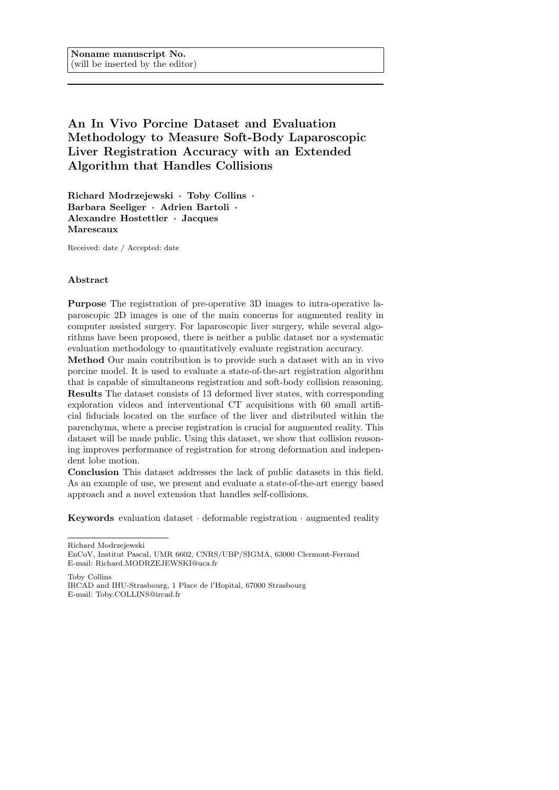# An In Vivo Porcine Dataset and Evaluation Methodology to Measure Soft-Body Laparoscopic Liver Registration Accuracy with an Extended Algorithm that Handles Collisions

Richard Modrzejewski · Toby Collins · Barbara Seeliger · Adrien Bartoli · Alexandre Hostettler · Jacques Marescaux

Received: date / Accepted: date

## Abstract

Purpose The registration of pre-operative 3D images to intra-operative laparoscopic 2D images is one of the main concerns for augmented reality in computer assisted surgery. For laparoscopic liver surgery, while several algorithms have been proposed, there is neither a public dataset nor a systematic evaluation methodology to quantitatively evaluate registration accuracy.

Method Our main contribution is to provide such a dataset with an in vivo porcine model. It is used to evaluate a state-of-the-art registration algorithm that is capable of simultaneous registration and soft-body collision reasoning. Results The dataset consists of 13 deformed liver states, with corresponding exploration videos and interventional CT acquisitions with 60 small artificial fiducials located on the surface of the liver and distributed within the parenchyma, where a precise registration is crucial for augmented reality. This dataset will be made public. Using this dataset, we show that collision reasoning improves performance of registration for strong deformation and independent lobe motion.

Conclusion This dataset addresses the lack of public datasets in this field. As an example of use, we present and evaluate a state-of-the-art energy based approach and a novel extension that handles self-collisions.

Keywords evaluation dataset  $\cdot$  deformable registration  $\cdot$  augmented reality

Richard Modrzejewski

Toby Collins

IRCAD and IHU-Strasbourg, 1 Place de l'Hopital, 67000 Strasbourg E-mail: Toby.COLLINS@ircad.fr

EnCoV, Institut Pascal, UMR 6602, CNRS/UBP/SIGMA, 63000 Clermont-Ferrand E-mail: Richard.MODRZEJEWSKI@uca.fr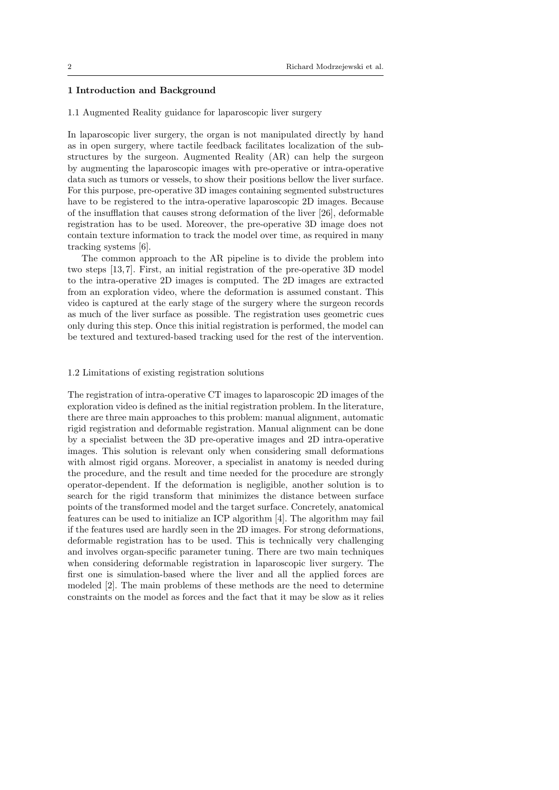# 1 Introduction and Background

#### 1.1 Augmented Reality guidance for laparoscopic liver surgery

In laparoscopic liver surgery, the organ is not manipulated directly by hand as in open surgery, where tactile feedback facilitates localization of the substructures by the surgeon. Augmented Reality (AR) can help the surgeon by augmenting the laparoscopic images with pre-operative or intra-operative data such as tumors or vessels, to show their positions bellow the liver surface. For this purpose, pre-operative 3D images containing segmented substructures have to be registered to the intra-operative laparoscopic 2D images. Because of the insufflation that causes strong deformation of the liver [26], deformable registration has to be used. Moreover, the pre-operative 3D image does not contain texture information to track the model over time, as required in many tracking systems [6].

The common approach to the AR pipeline is to divide the problem into two steps [13, 7]. First, an initial registration of the pre-operative 3D model to the intra-operative 2D images is computed. The 2D images are extracted from an exploration video, where the deformation is assumed constant. This video is captured at the early stage of the surgery where the surgeon records as much of the liver surface as possible. The registration uses geometric cues only during this step. Once this initial registration is performed, the model can be textured and textured-based tracking used for the rest of the intervention.

#### 1.2 Limitations of existing registration solutions

The registration of intra-operative CT images to laparoscopic 2D images of the exploration video is defined as the initial registration problem. In the literature, there are three main approaches to this problem: manual alignment, automatic rigid registration and deformable registration. Manual alignment can be done by a specialist between the 3D pre-operative images and 2D intra-operative images. This solution is relevant only when considering small deformations with almost rigid organs. Moreover, a specialist in anatomy is needed during the procedure, and the result and time needed for the procedure are strongly operator-dependent. If the deformation is negligible, another solution is to search for the rigid transform that minimizes the distance between surface points of the transformed model and the target surface. Concretely, anatomical features can be used to initialize an ICP algorithm [4]. The algorithm may fail if the features used are hardly seen in the 2D images. For strong deformations, deformable registration has to be used. This is technically very challenging and involves organ-specific parameter tuning. There are two main techniques when considering deformable registration in laparoscopic liver surgery. The first one is simulation-based where the liver and all the applied forces are modeled [2]. The main problems of these methods are the need to determine constraints on the model as forces and the fact that it may be slow as it relies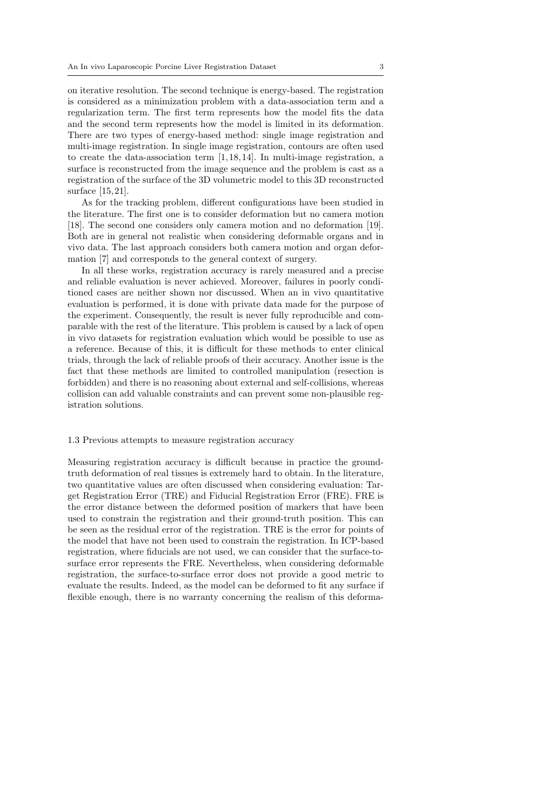on iterative resolution. The second technique is energy-based. The registration is considered as a minimization problem with a data-association term and a regularization term. The first term represents how the model fits the data and the second term represents how the model is limited in its deformation. There are two types of energy-based method: single image registration and multi-image registration. In single image registration, contours are often used to create the data-association term [1, 18, 14]. In multi-image registration, a surface is reconstructed from the image sequence and the problem is cast as a registration of the surface of the 3D volumetric model to this 3D reconstructed surface [15, 21].

As for the tracking problem, different configurations have been studied in the literature. The first one is to consider deformation but no camera motion [18]. The second one considers only camera motion and no deformation [19]. Both are in general not realistic when considering deformable organs and in vivo data. The last approach considers both camera motion and organ deformation [7] and corresponds to the general context of surgery.

In all these works, registration accuracy is rarely measured and a precise and reliable evaluation is never achieved. Moreover, failures in poorly conditioned cases are neither shown nor discussed. When an in vivo quantitative evaluation is performed, it is done with private data made for the purpose of the experiment. Consequently, the result is never fully reproducible and comparable with the rest of the literature. This problem is caused by a lack of open in vivo datasets for registration evaluation which would be possible to use as a reference. Because of this, it is difficult for these methods to enter clinical trials, through the lack of reliable proofs of their accuracy. Another issue is the fact that these methods are limited to controlled manipulation (resection is forbidden) and there is no reasoning about external and self-collisions, whereas collision can add valuable constraints and can prevent some non-plausible registration solutions.

## 1.3 Previous attempts to measure registration accuracy

Measuring registration accuracy is difficult because in practice the groundtruth deformation of real tissues is extremely hard to obtain. In the literature, two quantitative values are often discussed when considering evaluation: Target Registration Error (TRE) and Fiducial Registration Error (FRE). FRE is the error distance between the deformed position of markers that have been used to constrain the registration and their ground-truth position. This can be seen as the residual error of the registration. TRE is the error for points of the model that have not been used to constrain the registration. In ICP-based registration, where fiducials are not used, we can consider that the surface-tosurface error represents the FRE. Nevertheless, when considering deformable registration, the surface-to-surface error does not provide a good metric to evaluate the results. Indeed, as the model can be deformed to fit any surface if flexible enough, there is no warranty concerning the realism of this deforma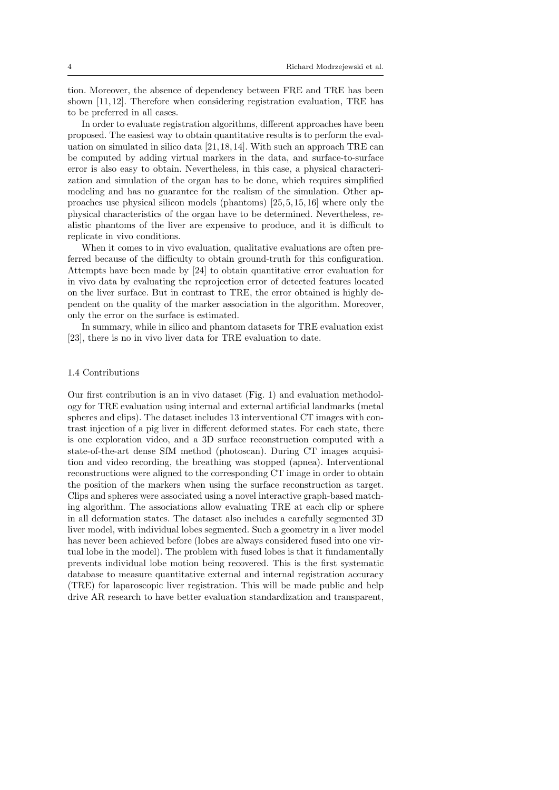tion. Moreover, the absence of dependency between FRE and TRE has been shown [11, 12]. Therefore when considering registration evaluation, TRE has to be preferred in all cases.

In order to evaluate registration algorithms, different approaches have been proposed. The easiest way to obtain quantitative results is to perform the evaluation on simulated in silico data [21, 18, 14]. With such an approach TRE can be computed by adding virtual markers in the data, and surface-to-surface error is also easy to obtain. Nevertheless, in this case, a physical characterization and simulation of the organ has to be done, which requires simplified modeling and has no guarantee for the realism of the simulation. Other approaches use physical silicon models (phantoms) [25, 5, 15, 16] where only the physical characteristics of the organ have to be determined. Nevertheless, realistic phantoms of the liver are expensive to produce, and it is difficult to replicate in vivo conditions.

When it comes to in vivo evaluation, qualitative evaluations are often preferred because of the difficulty to obtain ground-truth for this configuration. Attempts have been made by [24] to obtain quantitative error evaluation for in vivo data by evaluating the reprojection error of detected features located on the liver surface. But in contrast to TRE, the error obtained is highly dependent on the quality of the marker association in the algorithm. Moreover, only the error on the surface is estimated.

In summary, while in silico and phantom datasets for TRE evaluation exist [23], there is no in vivo liver data for TRE evaluation to date.

#### 1.4 Contributions

Our first contribution is an in vivo dataset (Fig. 1) and evaluation methodology for TRE evaluation using internal and external artificial landmarks (metal spheres and clips). The dataset includes 13 interventional CT images with contrast injection of a pig liver in different deformed states. For each state, there is one exploration video, and a 3D surface reconstruction computed with a state-of-the-art dense SfM method (photoscan). During CT images acquisition and video recording, the breathing was stopped (apnea). Interventional reconstructions were aligned to the corresponding CT image in order to obtain the position of the markers when using the surface reconstruction as target. Clips and spheres were associated using a novel interactive graph-based matching algorithm. The associations allow evaluating TRE at each clip or sphere in all deformation states. The dataset also includes a carefully segmented 3D liver model, with individual lobes segmented. Such a geometry in a liver model has never been achieved before (lobes are always considered fused into one virtual lobe in the model). The problem with fused lobes is that it fundamentally prevents individual lobe motion being recovered. This is the first systematic database to measure quantitative external and internal registration accuracy (TRE) for laparoscopic liver registration. This will be made public and help drive AR research to have better evaluation standardization and transparent,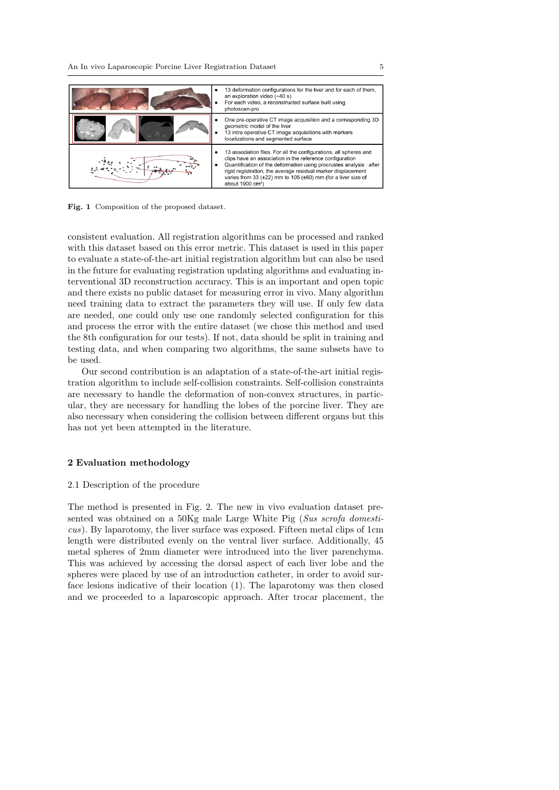

Fig. 1 Composition of the proposed dataset.

consistent evaluation. All registration algorithms can be processed and ranked with this dataset based on this error metric. This dataset is used in this paper to evaluate a state-of-the-art initial registration algorithm but can also be used in the future for evaluating registration updating algorithms and evaluating interventional 3D reconstruction accuracy. This is an important and open topic and there exists no public dataset for measuring error in vivo. Many algorithm need training data to extract the parameters they will use. If only few data are needed, one could only use one randomly selected configuration for this and process the error with the entire dataset (we chose this method and used the 8th configuration for our tests). If not, data should be split in training and testing data, and when comparing two algorithms, the same subsets have to be used.

Our second contribution is an adaptation of a state-of-the-art initial registration algorithm to include self-collision constraints. Self-collision constraints are necessary to handle the deformation of non-convex structures, in particular, they are necessary for handling the lobes of the porcine liver. They are also necessary when considering the collision between different organs but this has not yet been attempted in the literature.

### 2 Evaluation methodology

#### 2.1 Description of the procedure

The method is presented in Fig. 2. The new in vivo evaluation dataset presented was obtained on a 50Kg male Large White Pig (Sus scrofa domesticus). By laparotomy, the liver surface was exposed. Fifteen metal clips of 1cm length were distributed evenly on the ventral liver surface. Additionally, 45 metal spheres of 2mm diameter were introduced into the liver parenchyma. This was achieved by accessing the dorsal aspect of each liver lobe and the spheres were placed by use of an introduction catheter, in order to avoid surface lesions indicative of their location (1). The laparotomy was then closed and we proceeded to a laparoscopic approach. After trocar placement, the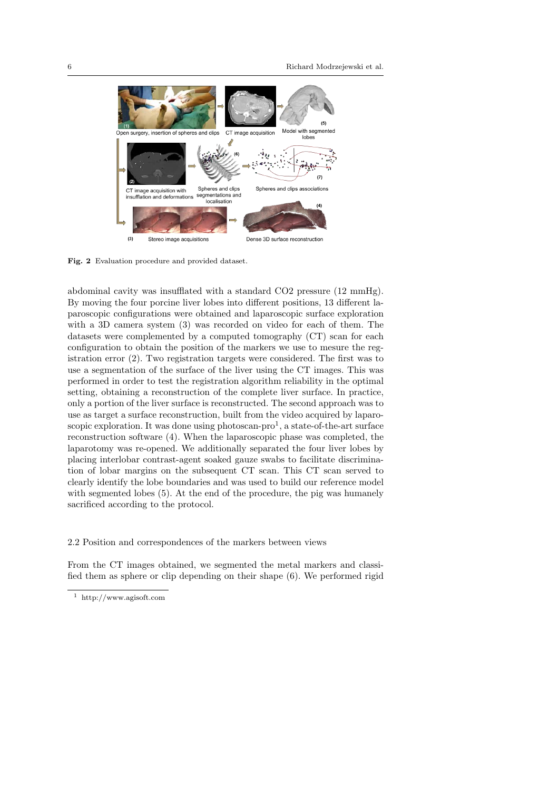

Fig. 2 Evaluation procedure and provided dataset.

abdominal cavity was insufflated with a standard CO2 pressure (12 mmHg). By moving the four porcine liver lobes into different positions, 13 different laparoscopic configurations were obtained and laparoscopic surface exploration with a 3D camera system (3) was recorded on video for each of them. The datasets were complemented by a computed tomography (CT) scan for each configuration to obtain the position of the markers we use to mesure the registration error (2). Two registration targets were considered. The first was to use a segmentation of the surface of the liver using the CT images. This was performed in order to test the registration algorithm reliability in the optimal setting, obtaining a reconstruction of the complete liver surface. In practice, only a portion of the liver surface is reconstructed. The second approach was to use as target a surface reconstruction, built from the video acquired by laparoscopic exploration. It was done using photoscan-pro<sup>1</sup>, a state-of-the-art surface reconstruction software (4). When the laparoscopic phase was completed, the laparotomy was re-opened. We additionally separated the four liver lobes by placing interlobar contrast-agent soaked gauze swabs to facilitate discrimination of lobar margins on the subsequent CT scan. This CT scan served to clearly identify the lobe boundaries and was used to build our reference model with segmented lobes  $(5)$ . At the end of the procedure, the pig was humanely sacrificed according to the protocol.

2.2 Position and correspondences of the markers between views

From the CT images obtained, we segmented the metal markers and classified them as sphere or clip depending on their shape (6). We performed rigid

<sup>1</sup> http://www.agisoft.com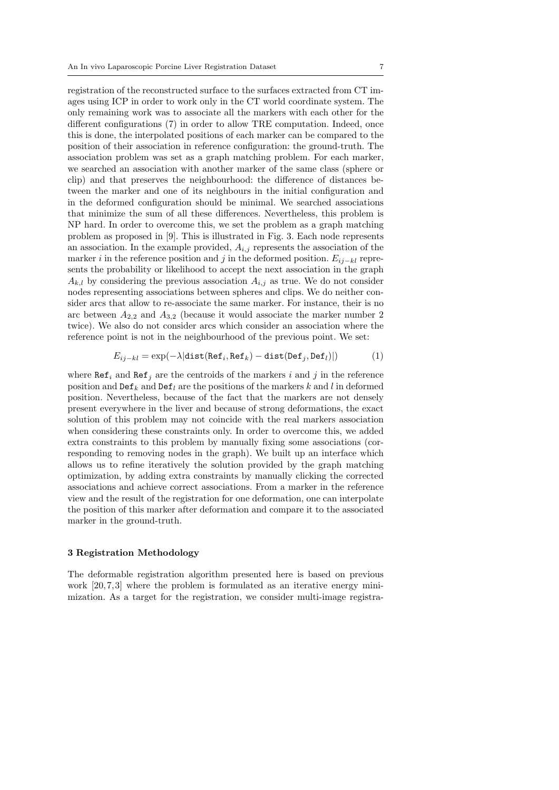registration of the reconstructed surface to the surfaces extracted from CT images using ICP in order to work only in the CT world coordinate system. The only remaining work was to associate all the markers with each other for the different configurations (7) in order to allow TRE computation. Indeed, once this is done, the interpolated positions of each marker can be compared to the position of their association in reference configuration: the ground-truth. The association problem was set as a graph matching problem. For each marker, we searched an association with another marker of the same class (sphere or clip) and that preserves the neighbourhood: the difference of distances between the marker and one of its neighbours in the initial configuration and in the deformed configuration should be minimal. We searched associations that minimize the sum of all these differences. Nevertheless, this problem is NP hard. In order to overcome this, we set the problem as a graph matching problem as proposed in [9]. This is illustrated in Fig. 3. Each node represents an association. In the example provided,  $A_{i,j}$  represents the association of the marker i in the reference position and j in the deformed position.  $E_{ij-kl}$  represents the probability or likelihood to accept the next association in the graph  $A_{k,l}$  by considering the previous association  $A_{i,j}$  as true. We do not consider nodes representing associations between spheres and clips. We do neither consider arcs that allow to re-associate the same marker. For instance, their is no arc between  $A_{2,2}$  and  $A_{3,2}$  (because it would associate the marker number 2 twice). We also do not consider arcs which consider an association where the reference point is not in the neighbourhood of the previous point. We set:

$$
E_{ij-kl} = \exp(-\lambda|\text{dist}(\text{Ref}_i, \text{Ref}_k) - \text{dist}(\text{Def}_j, \text{Def}_l)|)
$$
(1)

where  $\text{Ref}_i$  and  $\text{Ref}_j$  are the centroids of the markers i and j in the reference position and  $\text{Def}_k$  and  $\text{Def}_l$  are the positions of the markers k and l in deformed position. Nevertheless, because of the fact that the markers are not densely present everywhere in the liver and because of strong deformations, the exact solution of this problem may not coincide with the real markers association when considering these constraints only. In order to overcome this, we added extra constraints to this problem by manually fixing some associations (corresponding to removing nodes in the graph). We built up an interface which allows us to refine iteratively the solution provided by the graph matching optimization, by adding extra constraints by manually clicking the corrected associations and achieve correct associations. From a marker in the reference view and the result of the registration for one deformation, one can interpolate the position of this marker after deformation and compare it to the associated marker in the ground-truth.

## 3 Registration Methodology

The deformable registration algorithm presented here is based on previous work [20,7,3] where the problem is formulated as an iterative energy minimization. As a target for the registration, we consider multi-image registra-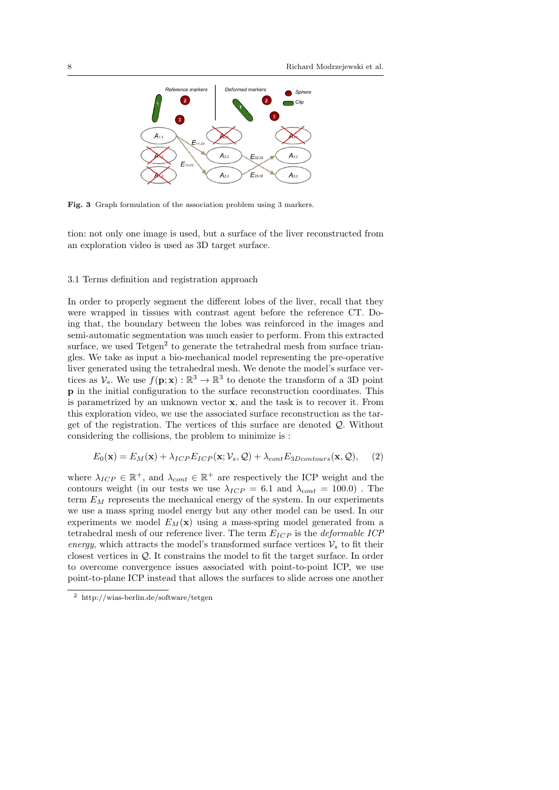

Fig. 3 Graph formulation of the association problem using 3 markers.

tion: not only one image is used, but a surface of the liver reconstructed from an exploration video is used as 3D target surface.

#### 3.1 Terms definition and registration approach

In order to properly segment the different lobes of the liver, recall that they were wrapped in tissues with contrast agent before the reference CT. Doing that, the boundary between the lobes was reinforced in the images and semi-automatic segmentation was much easier to perform. From this extracted surface, we used Tetgen<sup>2</sup> to generate the tetrahedral mesh from surface triangles. We take as input a bio-mechanical model representing the pre-operative liver generated using the tetrahedral mesh. We denote the model's surface vertices as  $\mathcal{V}_s$ . We use  $f(\mathbf{p}; \mathbf{x}) : \mathbb{R}^3 \to \mathbb{R}^3$  to denote the transform of a 3D point p in the initial configuration to the surface reconstruction coordinates. This is parametrized by an unknown vector  $x$ , and the task is to recover it. From this exploration video, we use the associated surface reconstruction as the target of the registration. The vertices of this surface are denoted Q. Without considering the collisions, the problem to minimize is :

$$
E_0(\mathbf{x}) = E_M(\mathbf{x}) + \lambda_{ICP} E_{ICP}(\mathbf{x}; \mathcal{V}_s, \mathcal{Q}) + \lambda_{cont} E_{3Dcontours}(\mathbf{x}, \mathcal{Q}), \quad (2)
$$

where  $\lambda_{ICP} \in \mathbb{R}^+$ , and  $\lambda_{cont} \in \mathbb{R}^+$  are respectively the ICP weight and the contours weight (in our tests we use  $\lambda_{ICP} = 6.1$  and  $\lambda_{cont} = 100.0$ ). The term  $E_M$  represents the mechanical energy of the system. In our experiments we use a mass spring model energy but any other model can be used. In our experiments we model  $E_M(\mathbf{x})$  using a mass-spring model generated from a tetrahedral mesh of our reference liver. The term  $E_{ICP}$  is the *deformable ICP* energy, which attracts the model's transformed surface vertices  $\mathcal{V}_s$  to fit their closest vertices in Q. It constrains the model to fit the target surface. In order to overcome convergence issues associated with point-to-point ICP, we use point-to-plane ICP instead that allows the surfaces to slide across one another

<sup>2</sup> http://wias-berlin.de/software/tetgen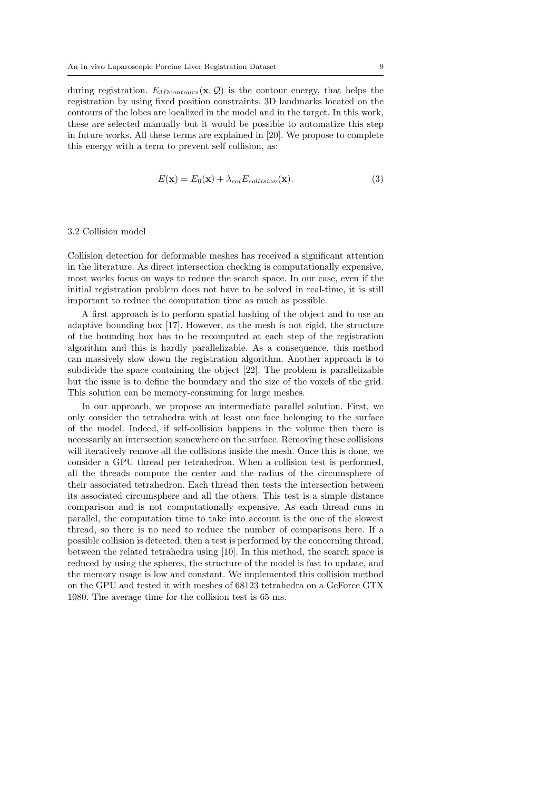during registration.  $E_{3Dcontours}(\mathbf{x}, \mathcal{Q})$  is the contour energy, that helps the registration by using fixed position constraints. 3D landmarks located on the contours of the lobes are localized in the model and in the target. In this work, these are selected manually but it would be possible to automatize this step in future works. All these terms are explained in [20]. We propose to complete this energy with a term to prevent self collision, as:

$$
E(\mathbf{x}) = E_0(\mathbf{x}) + \lambda_{col} E_{collision}(\mathbf{x}).
$$
\n(3)

# 3.2 Collision model

Collision detection for deformable meshes has received a significant attention in the literature. As direct intersection checking is computationally expensive, most works focus on ways to reduce the search space. In our case, even if the initial registration problem does not have to be solved in real-time, it is still important to reduce the computation time as much as possible.

A first approach is to perform spatial hashing of the object and to use an adaptive bounding box [17]. However, as the mesh is not rigid, the structure of the bounding box has to be recomputed at each step of the registration algorithm and this is hardly parallelizable. As a consequence, this method can massively slow down the registration algorithm. Another approach is to subdivide the space containing the object [22]. The problem is parallelizable but the issue is to define the boundary and the size of the voxels of the grid. This solution can be memory-consuming for large meshes.

In our approach, we propose an intermediate parallel solution. First, we only consider the tetrahedra with at least one face belonging to the surface of the model. Indeed, if self-collision happens in the volume then there is necessarily an intersection somewhere on the surface. Removing these collisions will iteratively remove all the collisions inside the mesh. Once this is done, we consider a GPU thread per tetrahedron. When a collision test is performed, all the threads compute the center and the radius of the circumsphere of their associated tetrahedron. Each thread then tests the intersection between its associated circumsphere and all the others. This test is a simple distance comparison and is not computationally expensive. As each thread runs in parallel, the computation time to take into account is the one of the slowest thread, so there is no need to reduce the number of comparisons here. If a possible collision is detected, then a test is performed by the concerning thread, between the related tetrahedra using [10]. In this method, the search space is reduced by using the spheres, the structure of the model is fast to update, and the memory usage is low and constant. We implemented this collision method on the GPU and tested it with meshes of 68123 tetrahedra on a GeForce GTX 1080. The average time for the collision test is 65 ms.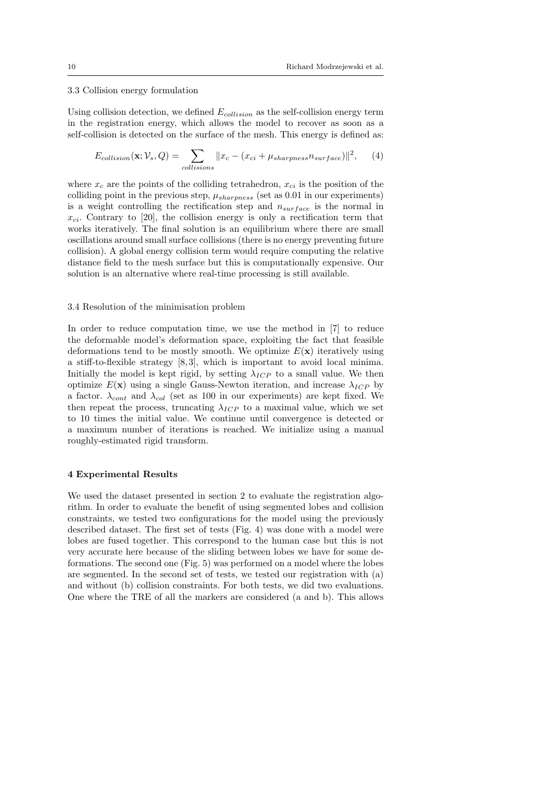# 3.3 Collision energy formulation

Using collision detection, we defined  $E_{collision}$  as the self-collision energy term in the registration energy, which allows the model to recover as soon as a self-collision is detected on the surface of the mesh. This energy is defined as:

$$
E_{collision}(\mathbf{x}; \mathcal{V}_s, Q) = \sum_{collisions} ||x_c - (x_{ci} + \mu_{sharpness} n_{surface})||^2, \quad (4)
$$

where  $x_c$  are the points of the colliding tetrahedron,  $x_{ci}$  is the position of the colliding point in the previous step,  $\mu_{sharpness}$  (set as 0.01 in our experiments) is a weight controlling the rectification step and  $n_{surface}$  is the normal in  $x_{ci}$ . Contrary to [20], the collision energy is only a rectification term that works iteratively. The final solution is an equilibrium where there are small oscillations around small surface collisions (there is no energy preventing future collision). A global energy collision term would require computing the relative distance field to the mesh surface but this is computationally expensive. Our solution is an alternative where real-time processing is still available.

#### 3.4 Resolution of the minimisation problem

In order to reduce computation time, we use the method in [7] to reduce the deformable model's deformation space, exploiting the fact that feasible deformations tend to be mostly smooth. We optimize  $E(\mathbf{x})$  iteratively using a stiff-to-flexible strategy  $[8,3]$ , which is important to avoid local minima. Initially the model is kept rigid, by setting  $\lambda_{ICP}$  to a small value. We then optimize  $E(\mathbf{x})$  using a single Gauss-Newton iteration, and increase  $\lambda_{ICP}$  by a factor.  $\lambda_{cont}$  and  $\lambda_{col}$  (set as 100 in our experiments) are kept fixed. We then repeat the process, truncating  $\lambda_{ICP}$  to a maximal value, which we set to 10 times the initial value. We continue until convergence is detected or a maximum number of iterations is reached. We initialize using a manual roughly-estimated rigid transform.

### 4 Experimental Results

We used the dataset presented in section 2 to evaluate the registration algorithm. In order to evaluate the benefit of using segmented lobes and collision constraints, we tested two configurations for the model using the previously described dataset. The first set of tests (Fig. 4) was done with a model were lobes are fused together. This correspond to the human case but this is not very accurate here because of the sliding between lobes we have for some deformations. The second one (Fig. 5) was performed on a model where the lobes are segmented. In the second set of tests, we tested our registration with (a) and without (b) collision constraints. For both tests, we did two evaluations. One where the TRE of all the markers are considered (a and b). This allows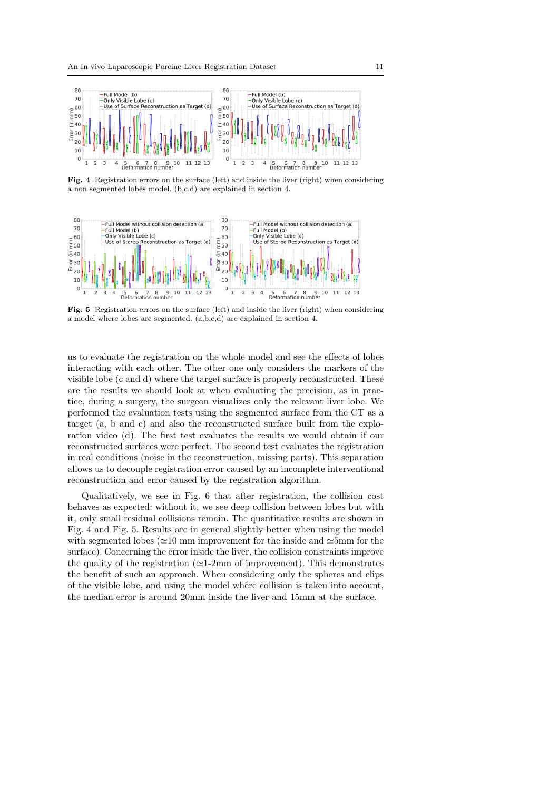

Fig. 4 Registration errors on the surface (left) and inside the liver (right) when considering a non segmented lobes model. (b,c,d) are explained in section 4.



Fig. 5 Registration errors on the surface (left) and inside the liver (right) when considering a model where lobes are segmented. (a,b,c,d) are explained in section 4.

us to evaluate the registration on the whole model and see the effects of lobes interacting with each other. The other one only considers the markers of the visible lobe (c and d) where the target surface is properly reconstructed. These are the results we should look at when evaluating the precision, as in practice, during a surgery, the surgeon visualizes only the relevant liver lobe. We performed the evaluation tests using the segmented surface from the CT as a target (a, b and c) and also the reconstructed surface built from the exploration video (d). The first test evaluates the results we would obtain if our reconstructed surfaces were perfect. The second test evaluates the registration in real conditions (noise in the reconstruction, missing parts). This separation allows us to decouple registration error caused by an incomplete interventional reconstruction and error caused by the registration algorithm.

Qualitatively, we see in Fig. 6 that after registration, the collision cost behaves as expected: without it, we see deep collision between lobes but with it, only small residual collisions remain. The quantitative results are shown in Fig. 4 and Fig. 5. Results are in general slightly better when using the model with segmented lobes ( $\simeq$ 10 mm improvement for the inside and  $\simeq$ 5mm for the surface). Concerning the error inside the liver, the collision constraints improve the quality of the registration ( $\simeq$ 1-2mm of improvement). This demonstrates the benefit of such an approach. When considering only the spheres and clips of the visible lobe, and using the model where collision is taken into account, the median error is around 20mm inside the liver and 15mm at the surface.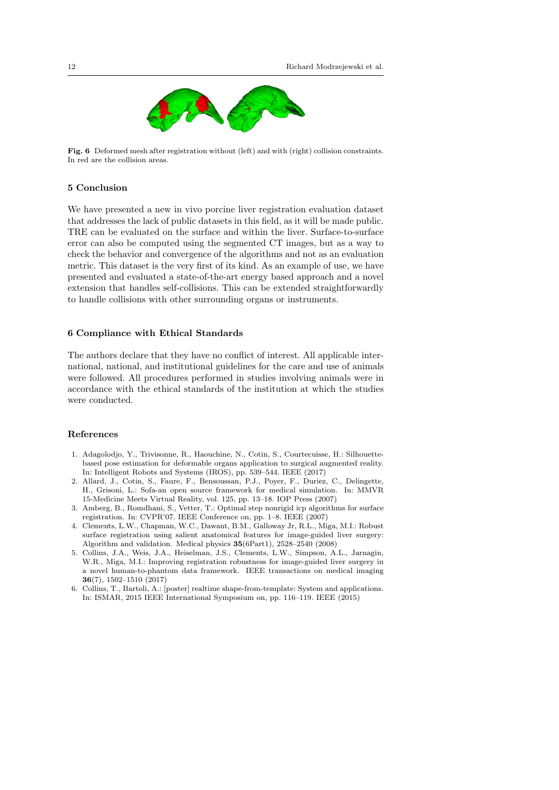

Fig. 6 Deformed mesh after registration without (left) and with (right) collision constraints. In red are the collision areas.

## 5 Conclusion

We have presented a new in vivo porcine liver registration evaluation dataset that addresses the lack of public datasets in this field, as it will be made public. TRE can be evaluated on the surface and within the liver. Surface-to-surface error can also be computed using the segmented CT images, but as a way to check the behavior and convergence of the algorithms and not as an evaluation metric. This dataset is the very first of its kind. As an example of use, we have presented and evaluated a state-of-the-art energy based approach and a novel extension that handles self-collisions. This can be extended straightforwardly to handle collisions with other surrounding organs or instruments.

# 6 Compliance with Ethical Standards

The authors declare that they have no conflict of interest. All applicable international, national, and institutional guidelines for the care and use of animals were followed. All procedures performed in studies involving animals were in accordance with the ethical standards of the institution at which the studies were conducted.

## References

- 1. Adagolodjo, Y., Trivisonne, R., Haouchine, N., Cotin, S., Courtecuisse, H.: Silhouettebased pose estimation for deformable organs application to surgical augmented reality. In: Intelligent Robots and Systems (IROS), pp. 539–544. IEEE (2017)
- 2. Allard, J., Cotin, S., Faure, F., Bensoussan, P.J., Poyer, F., Duriez, C., Delingette, H., Grisoni, L.: Sofa-an open source framework for medical simulation. In: MMVR 15-Medicine Meets Virtual Reality, vol. 125, pp. 13–18. IOP Press (2007)
- 3. Amberg, B., Romdhani, S., Vetter, T.: Optimal step nonrigid icp algorithms for surface registration. In: CVPR'07. IEEE Conference on, pp. 1–8. IEEE (2007)
- 4. Clements, L.W., Chapman, W.C., Dawant, B.M., Galloway Jr, R.L., Miga, M.I.: Robust surface registration using salient anatomical features for image-guided liver surgery: Algorithm and validation. Medical physics 35(6Part1), 2528–2540 (2008)
- 5. Collins, J.A., Weis, J.A., Heiselman, J.S., Clements, L.W., Simpson, A.L., Jarnagin, W.R., Miga, M.I.: Improving registration robustness for image-guided liver surgery in a novel human-to-phantom data framework. IEEE transactions on medical imaging 36(7), 1502–1510 (2017)
- 6. Collins, T., Bartoli, A.: [poster] realtime shape-from-template: System and applications. In: ISMAR, 2015 IEEE International Symposium on, pp. 116–119. IEEE (2015)